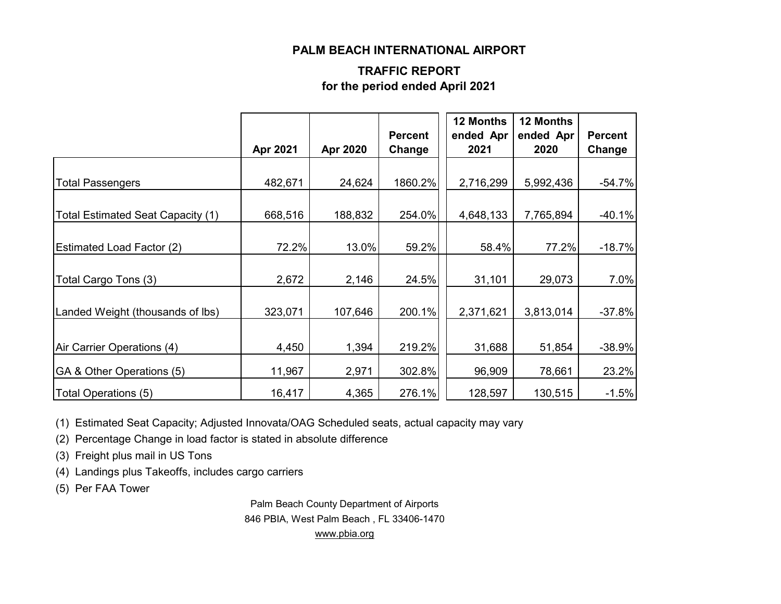#### **PALM BEACH INTERNATIONAL AIRPORT**

#### **TRAFFIC REPORT for the period ended April 2021**

|                                          | Apr 2021 | <b>Apr 2020</b> | <b>Percent</b><br>Change | 12 Months<br>ended Apr<br>2021 | <b>12 Months</b><br>ended Apr<br>2020 | <b>Percent</b><br>Change |
|------------------------------------------|----------|-----------------|--------------------------|--------------------------------|---------------------------------------|--------------------------|
| <b>Total Passengers</b>                  | 482,671  | 24,624          | 1860.2%                  | 2,716,299                      | 5,992,436                             | $-54.7%$                 |
| <b>Total Estimated Seat Capacity (1)</b> | 668,516  | 188,832         | 254.0%                   | 4,648,133                      | 7,765,894                             | $-40.1%$                 |
| <b>Estimated Load Factor (2)</b>         | 72.2%    | 13.0%           | 59.2%                    | 58.4%                          | 77.2%                                 | $-18.7%$                 |
| Total Cargo Tons (3)                     | 2,672    | 2,146           | 24.5%                    | 31,101                         | 29,073                                | 7.0%                     |
| Landed Weight (thousands of lbs)         | 323,071  | 107,646         | 200.1%                   | 2,371,621                      | 3,813,014                             | $-37.8%$                 |
| Air Carrier Operations (4)               | 4,450    | 1,394           | 219.2%                   | 31,688                         | 51,854                                | $-38.9%$                 |
| GA & Other Operations (5)                | 11,967   | 2,971           | 302.8%                   | 96,909                         | 78,661                                | 23.2%                    |
| Total Operations (5)                     | 16,417   | 4,365           | 276.1%                   | 128,597                        | 130,515                               | $-1.5%$                  |

(1) Estimated Seat Capacity; Adjusted Innovata/OAG Scheduled seats, actual capacity may vary

(2) Percentage Change in load factor is stated in absolute difference

(3) Freight plus mail in US Tons

(4) Landings plus Takeoffs, includes cargo carriers

(5) Per FAA Tower

Palm Beach County Department of Airports 846 PBIA, West Palm Beach , FL 33406-1470 [www.pbia.org](http://www.pbia.org/)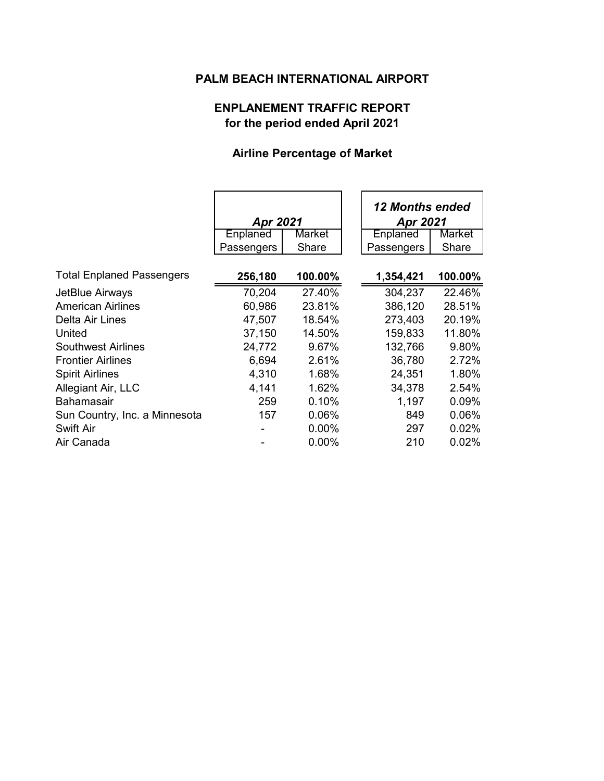## **PALM BEACH INTERNATIONAL AIRPORT**

## **ENPLANEMENT TRAFFIC REPORT for the period ended April 2021**

## **Airline Percentage of Market**

|                                  | Apr 2021   |          | <b>12 Months ended</b><br>Apr 2021 |
|----------------------------------|------------|----------|------------------------------------|
|                                  | Enplaned   | Market   | Enplaned<br>Market                 |
|                                  | Passengers | Share    | Share<br>Passengers                |
| <b>Total Enplaned Passengers</b> | 256,180    | 100.00%  | 100.00%<br>1,354,421               |
| JetBlue Airways                  | 70,204     | 27.40%   | 22.46%<br>304,237                  |
| <b>American Airlines</b>         | 60,986     | 23.81%   | 386,120<br>28.51%                  |
| Delta Air Lines                  | 47,507     | 18.54%   | 273,403<br>20.19%                  |
| United                           | 37,150     | 14.50%   | 11.80%<br>159,833                  |
| <b>Southwest Airlines</b>        | 24,772     | 9.67%    | 132,766<br>9.80%                   |
| <b>Frontier Airlines</b>         | 6,694      | 2.61%    | 2.72%<br>36,780                    |
| <b>Spirit Airlines</b>           | 4,310      | 1.68%    | 24,351<br>1.80%                    |
| Allegiant Air, LLC               | 4,141      | 1.62%    | 34,378<br>2.54%                    |
| <b>Bahamasair</b>                | 259        | 0.10%    | 0.09%<br>1,197                     |
| Sun Country, Inc. a Minnesota    | 157        | $0.06\%$ | $0.06\%$<br>849                    |
| <b>Swift Air</b>                 |            | 0.00%    | 0.02%<br>297                       |
| Air Canada                       |            | 0.00%    | 210<br>$0.02\%$                    |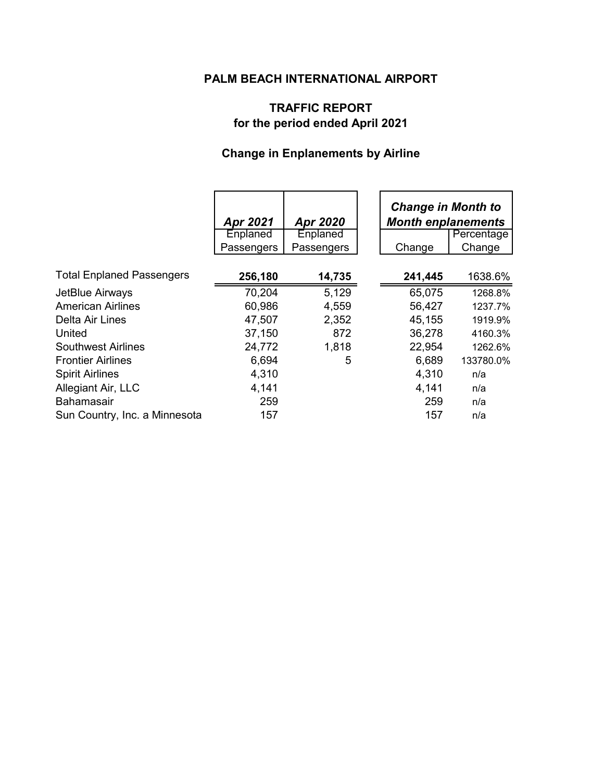## **PALM BEACH INTERNATIONAL AIRPORT**

# **TRAFFIC REPORT for the period ended April 2021**

## **Change in Enplanements by Airline**

|                                  | Apr 2021   | Apr 2020   | <b>Change in Month to</b><br><b>Month enplanements</b> |            |
|----------------------------------|------------|------------|--------------------------------------------------------|------------|
|                                  | Enplaned   | Enplaned   |                                                        | Percentage |
|                                  | Passengers | Passengers | Change                                                 | Change     |
| <b>Total Enplaned Passengers</b> | 256,180    | 14,735     | 241,445                                                | 1638.6%    |
| JetBlue Airways                  | 70,204     | 5,129      | 65,075                                                 | 1268.8%    |
| <b>American Airlines</b>         | 60,986     | 4,559      | 56,427                                                 | 1237.7%    |
| Delta Air Lines                  | 47,507     | 2,352      | 45,155                                                 | 1919.9%    |
| United                           | 37,150     | 872        | 36,278                                                 | 4160.3%    |
| <b>Southwest Airlines</b>        | 24,772     | 1,818      | 22,954                                                 | 1262.6%    |
| <b>Frontier Airlines</b>         | 6,694      | 5          | 6,689                                                  | 133780.0%  |
| <b>Spirit Airlines</b>           | 4,310      |            | 4,310                                                  | n/a        |
| Allegiant Air, LLC               | 4,141      |            | 4,141                                                  | n/a        |
| <b>Bahamasair</b>                | 259        |            | 259                                                    | n/a        |
| Sun Country, Inc. a Minnesota    | 157        |            | 157                                                    | n/a        |